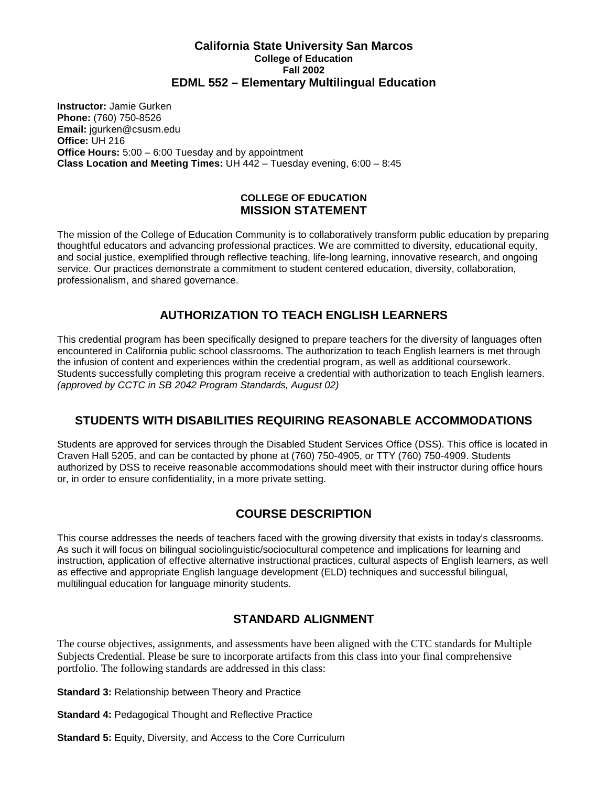#### **California State University San Marcos College of Education Fall 2002 EDML 552 – Elementary Multilingual Education**

**Instructor:** Jamie Gurken **Phone:** (760) 750-8526 **Email:** jgurken@csusm.edu **Office:** UH 216 **Office Hours:** 5:00 – 6:00 Tuesday and by appointment **Class Location and Meeting Times:** UH 442 – Tuesday evening, 6:00 – 8:45

#### **COLLEGE OF EDUCATION MISSION STATEMENT**

The mission of the College of Education Community is to collaboratively transform public education by preparing thoughtful educators and advancing professional practices. We are committed to diversity, educational equity, and social justice, exemplified through reflective teaching, life-long learning, innovative research, and ongoing service. Our practices demonstrate a commitment to student centered education, diversity, collaboration, professionalism, and shared governance.

## **AUTHORIZATION TO TEACH ENGLISH LEARNERS**

This credential program has been specifically designed to prepare teachers for the diversity of languages often encountered in California public school classrooms. The authorization to teach English learners is met through the infusion of content and experiences within the credential program, as well as additional coursework. Students successfully completing this program receive a credential with authorization to teach English learners. *(approved by CCTC in SB 2042 Program Standards, August 02)*

## **STUDENTS WITH DISABILITIES REQUIRING REASONABLE ACCOMMODATIONS**

Students are approved for services through the Disabled Student Services Office (DSS). This office is located in Craven Hall 5205, and can be contacted by phone at (760) 750-4905, or TTY (760) 750-4909. Students authorized by DSS to receive reasonable accommodations should meet with their instructor during office hours or, in order to ensure confidentiality, in a more private setting.

## **COURSE DESCRIPTION**

This course addresses the needs of teachers faced with the growing diversity that exists in today's classrooms. As such it will focus on bilingual sociolinguistic/sociocultural competence and implications for learning and instruction, application of effective alternative instructional practices, cultural aspects of English learners, as well as effective and appropriate English language development (ELD) techniques and successful bilingual, multilingual education for language minority students.

## **STANDARD ALIGNMENT**

The course objectives, assignments, and assessments have been aligned with the CTC standards for Multiple Subjects Credential. Please be sure to incorporate artifacts from this class into your final comprehensive portfolio. The following standards are addressed in this class:

**Standard 3: Relationship between Theory and Practice** 

**Standard 4: Pedagogical Thought and Reflective Practice** 

**Standard 5: Equity, Diversity, and Access to the Core Curriculum**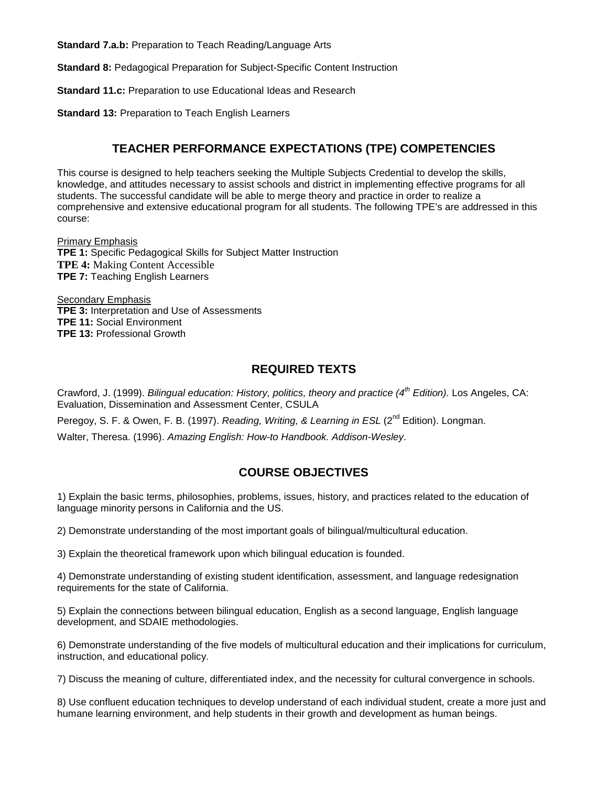**Standard 7.a.b:** Preparation to Teach Reading/Language Arts

**Standard 8:** Pedagogical Preparation for Subject-Specific Content Instruction

**Standard 11.c:** Preparation to use Educational Ideas and Research

**Standard 13:** Preparation to Teach English Learners

### **TEACHER PERFORMANCE EXPECTATIONS (TPE) COMPETENCIES**

This course is designed to help teachers seeking the Multiple Subjects Credential to develop the skills, knowledge, and attitudes necessary to assist schools and district in implementing effective programs for all students. The successful candidate will be able to merge theory and practice in order to realize a comprehensive and extensive educational program for all students. The following TPE's are addressed in this course:

Primary Emphasis **TPE 1:** Specific Pedagogical Skills for Subject Matter Instruction **TPE 4:** Making Content Accessible **TPE 7:** Teaching English Learners

**Secondary Emphasis TPE 3:** Interpretation and Use of Assessments **TPE 11:** Social Environment **TPE 13:** Professional Growth

### **REQUIRED TEXTS**

Crawford, J. (1999). *Bilingual education: History, politics, theory and practice (4th Edition).* Los Angeles, CA: Evaluation, Dissemination and Assessment Center, CSULA

Peregoy, S. F. & Owen, F. B. (1997). *Reading, Writing, & Learning in ESL* (2<sup>nd</sup> Edition). Longman.

Walter, Theresa. (1996). *Amazing English: How-to Handbook. Addison-Wesley*.

## **COURSE OBJECTIVES**

1) Explain the basic terms, philosophies, problems, issues, history, and practices related to the education of language minority persons in California and the US.

2) Demonstrate understanding of the most important goals of bilingual/multicultural education.

3) Explain the theoretical framework upon which bilingual education is founded.

4) Demonstrate understanding of existing student identification, assessment, and language redesignation requirements for the state of California.

5) Explain the connections between bilingual education, English as a second language, English language development, and SDAIE methodologies.

6) Demonstrate understanding of the five models of multicultural education and their implications for curriculum, instruction, and educational policy.

7) Discuss the meaning of culture, differentiated index, and the necessity for cultural convergence in schools.

8) Use confluent education techniques to develop understand of each individual student, create a more just and humane learning environment, and help students in their growth and development as human beings.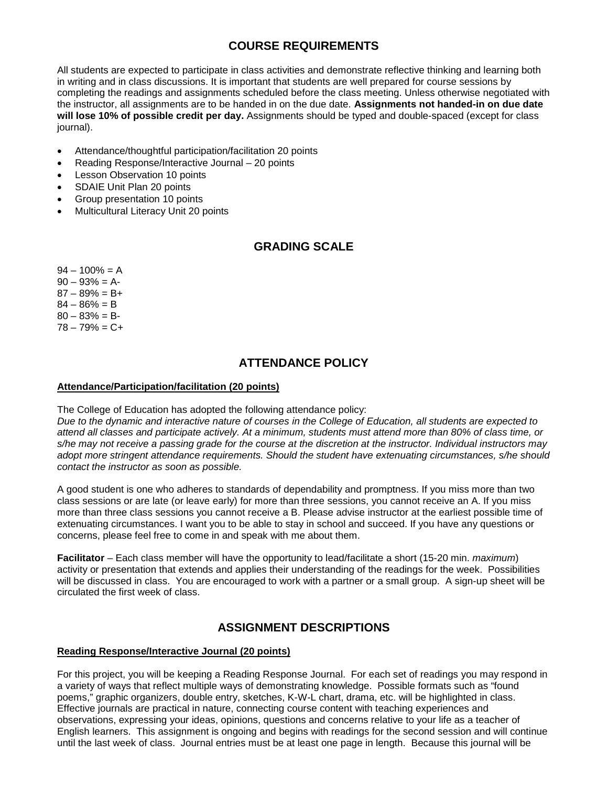## **COURSE REQUIREMENTS**

All students are expected to participate in class activities and demonstrate reflective thinking and learning both in writing and in class discussions. It is important that students are well prepared for course sessions by completing the readings and assignments scheduled before the class meeting. Unless otherwise negotiated with the instructor, all assignments are to be handed in on the due date. **Assignments not handed-in on due date will lose 10% of possible credit per day.** Assignments should be typed and double-spaced (except for class journal).

- Attendance/thoughtful participation/facilitation 20 points
- Reading Response/Interactive Journal 20 points
- **Lesson Observation 10 points**
- SDAIE Unit Plan 20 points
- Group presentation 10 points
- Multicultural Literacy Unit 20 points

### **GRADING SCALE**

- $94 100\% = A$  $90 - 93\% = A$  $87 - 89\% = B +$  $84 - 86\% = B$
- $80 83\% = B$
- $78 79% = C +$

## **ATTENDANCE POLICY**

#### **Attendance/Participation/facilitation (20 points)**

The College of Education has adopted the following attendance policy:

*Due to the dynamic and interactive nature of courses in the College of Education, all students are expected to attend all classes and participate actively. At a minimum, students must attend more than 80% of class time, or s/he may not receive a passing grade for the course at the discretion at the instructor. Individual instructors may adopt more stringent attendance requirements. Should the student have extenuating circumstances, s/he should contact the instructor as soon as possible.*

A good student is one who adheres to standards of dependability and promptness. If you miss more than two class sessions or are late (or leave early) for more than three sessions, you cannot receive an A. If you miss more than three class sessions you cannot receive a B. Please advise instructor at the earliest possible time of extenuating circumstances. I want you to be able to stay in school and succeed. If you have any questions or concerns, please feel free to come in and speak with me about them.

**Facilitator** – Each class member will have the opportunity to lead/facilitate a short (15-20 min. *maximum*) activity or presentation that extends and applies their understanding of the readings for the week. Possibilities will be discussed in class. You are encouraged to work with a partner or a small group. A sign-up sheet will be circulated the first week of class.

### **ASSIGNMENT DESCRIPTIONS**

#### **Reading Response/Interactive Journal (20 points)**

For this project, you will be keeping a Reading Response Journal. For each set of readings you may respond in a variety of ways that reflect multiple ways of demonstrating knowledge. Possible formats such as "found poems," graphic organizers, double entry, sketches, K-W-L chart, drama, etc. will be highlighted in class. Effective journals are practical in nature, connecting course content with teaching experiences and observations, expressing your ideas, opinions, questions and concerns relative to your life as a teacher of English learners. This assignment is ongoing and begins with readings for the second session and will continue until the last week of class. Journal entries must be at least one page in length. Because this journal will be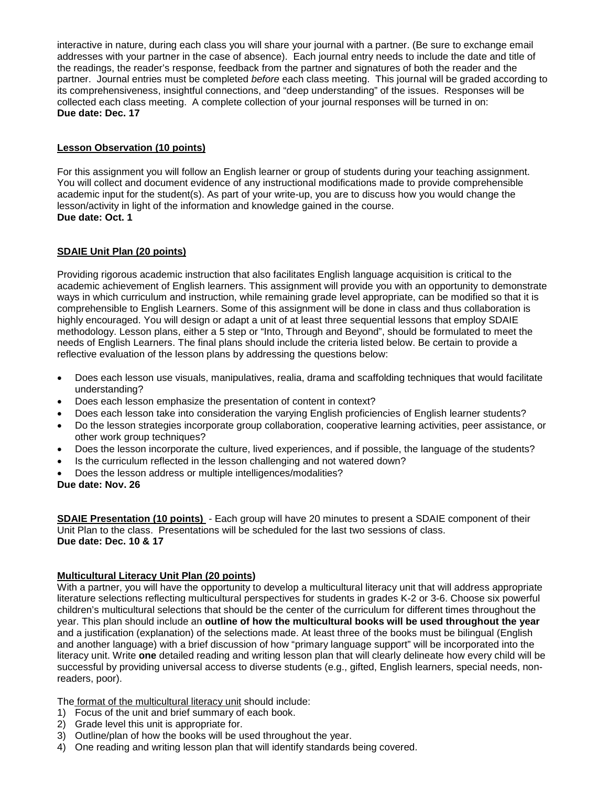interactive in nature, during each class you will share your journal with a partner. (Be sure to exchange email addresses with your partner in the case of absence). Each journal entry needs to include the date and title of the readings, the reader's response, feedback from the partner and signatures of both the reader and the partner. Journal entries must be completed *before* each class meeting. This journal will be graded according to its comprehensiveness, insightful connections, and "deep understanding" of the issues. Responses will be collected each class meeting. A complete collection of your journal responses will be turned in on: **Due date: Dec. 17** 

#### **Lesson Observation (10 points)**

For this assignment you will follow an English learner or group of students during your teaching assignment. You will collect and document evidence of any instructional modifications made to provide comprehensible academic input for the student(s). As part of your write-up, you are to discuss how you would change the lesson/activity in light of the information and knowledge gained in the course. **Due date: Oct. 1**

#### **SDAIE Unit Plan (20 points)**

Providing rigorous academic instruction that also facilitates English language acquisition is critical to the academic achievement of English learners. This assignment will provide you with an opportunity to demonstrate ways in which curriculum and instruction, while remaining grade level appropriate, can be modified so that it is comprehensible to English Learners. Some of this assignment will be done in class and thus collaboration is highly encouraged. You will design or adapt a unit of at least three sequential lessons that employ SDAIE methodology. Lesson plans, either a 5 step or "Into, Through and Beyond", should be formulated to meet the needs of English Learners. The final plans should include the criteria listed below. Be certain to provide a reflective evaluation of the lesson plans by addressing the questions below:

- Does each lesson use visuals, manipulatives, realia, drama and scaffolding techniques that would facilitate understanding?
- Does each lesson emphasize the presentation of content in context?
- Does each lesson take into consideration the varying English proficiencies of English learner students?
- Do the lesson strategies incorporate group collaboration, cooperative learning activities, peer assistance, or other work group techniques?
- Does the lesson incorporate the culture, lived experiences, and if possible, the language of the students?
- Is the curriculum reflected in the lesson challenging and not watered down?
- Does the lesson address or multiple intelligences/modalities?

#### **Due date: Nov. 26**

**SDAIE Presentation (10 points)** - Each group will have 20 minutes to present a SDAIE component of their Unit Plan to the class. Presentations will be scheduled for the last two sessions of class. **Due date: Dec. 10 & 17** 

#### **Multicultural Literacy Unit Plan (20 points)**

With a partner, you will have the opportunity to develop a multicultural literacy unit that will address appropriate literature selections reflecting multicultural perspectives for students in grades K-2 or 3-6. Choose six powerful children's multicultural selections that should be the center of the curriculum for different times throughout the year. This plan should include an **outline of how the multicultural books will be used throughout the year**  and a justification (explanation) of the selections made. At least three of the books must be bilingual (English and another language) with a brief discussion of how "primary language support" will be incorporated into the literacy unit. Write **one** detailed reading and writing lesson plan that will clearly delineate how every child will be successful by providing universal access to diverse students (e.g., gifted, English learners, special needs, nonreaders, poor).

The format of the multicultural literacy unit should include:

- 1) Focus of the unit and brief summary of each book.
- 2) Grade level this unit is appropriate for.
- 3) Outline/plan of how the books will be used throughout the year.
- 4) One reading and writing lesson plan that will identify standards being covered.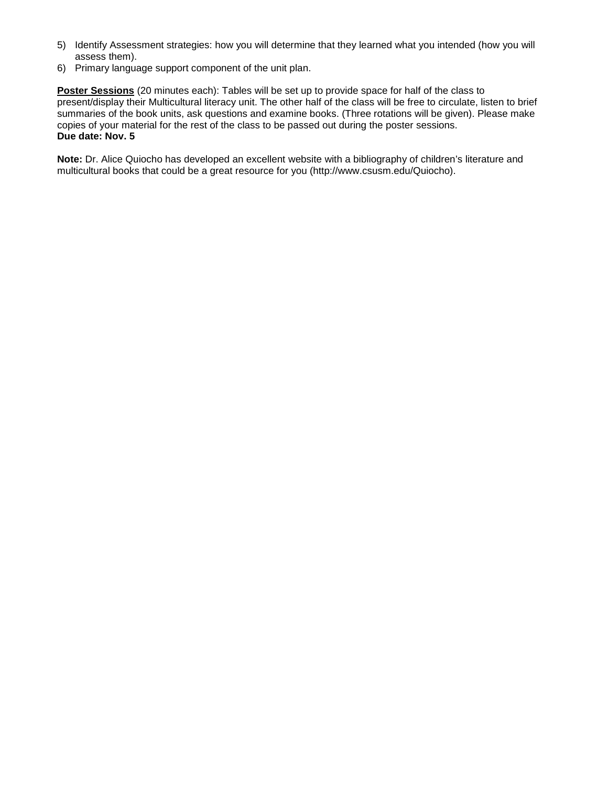- 5) Identify Assessment strategies: how you will determine that they learned what you intended (how you will assess them).
- 6) Primary language support component of the unit plan.

**Poster Sessions** (20 minutes each): Tables will be set up to provide space for half of the class to present/display their Multicultural literacy unit. The other half of the class will be free to circulate, listen to brief summaries of the book units, ask questions and examine books. (Three rotations will be given). Please make copies of your material for the rest of the class to be passed out during the poster sessions. **Due date: Nov. 5**

**Note:** Dr. Alice Quiocho has developed an excellent website with a bibliography of children's literature and multicultural books that could be a great resource for you (http://www.csusm.edu/Quiocho).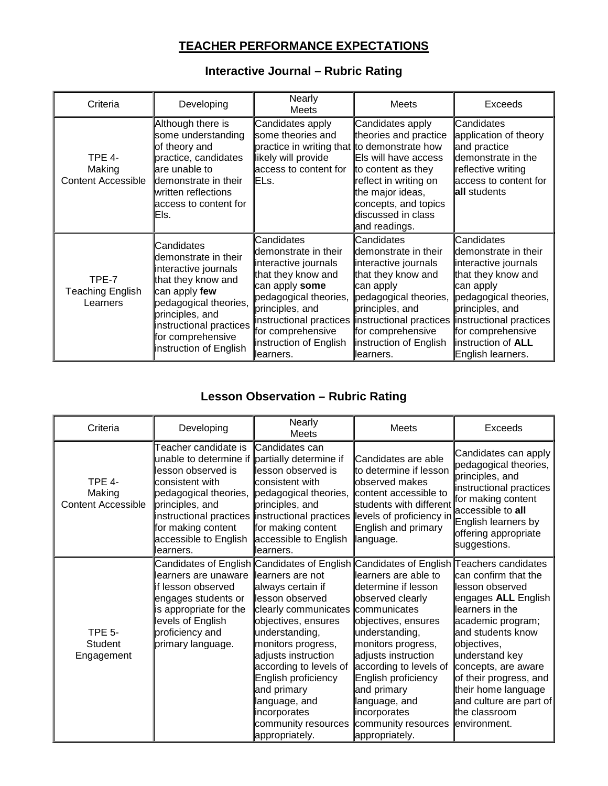## **TEACHER PERFORMANCE EXPECTATIONS**

## **Interactive Journal – Rubric Rating**

| Criteria                                             | Developing                                                                                                                                                                                                              | Nearly<br><b>Meets</b>                                                                                                                                                                                      | Meets                                                                                                                                                                                                                                                                              | <b>Exceeds</b>                                                                                                                                                                                                    |
|------------------------------------------------------|-------------------------------------------------------------------------------------------------------------------------------------------------------------------------------------------------------------------------|-------------------------------------------------------------------------------------------------------------------------------------------------------------------------------------------------------------|------------------------------------------------------------------------------------------------------------------------------------------------------------------------------------------------------------------------------------------------------------------------------------|-------------------------------------------------------------------------------------------------------------------------------------------------------------------------------------------------------------------|
| <b>TPE 4-</b><br>Making<br><b>Content Accessible</b> | Although there is<br>some understanding<br>of theory and<br>practice, candidates<br>are unable to<br>ldemonstrate in their<br>written reflections<br>access to content for<br>Els.                                      | Candidates apply<br>some theories and<br>practice in writing that to demonstrate how<br>likely will provide<br>access to content for<br><b>IELs.</b>                                                        | Candidates apply<br>theories and practice<br>Els will have access<br>to content as they<br>reflect in writing on<br>the major ideas,<br>concepts, and topics<br>discussed in class<br>and readings.                                                                                | Candidates<br>application of theory<br>and practice<br>demonstrate in the<br>reflective writing<br>access to content for<br>all students                                                                          |
| TPE-7<br>Teaching English<br>Learners                | Candidates<br>demonstrate in their<br>interactive journals<br>that they know and<br>can apply few<br>pedagogical theories,<br>principles, and<br>instructional practices<br>for comprehensive<br>instruction of English | Candidates<br>Idemonstrate in their<br>interactive journals<br>that they know and<br>can apply some<br>pedagogical theories,<br>principles, and<br>for comprehensive<br>instruction of English<br>⊪earners. | Candidates<br>ldemonstrate in their<br>interactive journals<br>that they know and<br>can apply<br>pedagogical theories,<br>principles, and<br>instructional practices instructional practices instructional practices<br>for comprehensive<br>instruction of English<br>llearners. | Candidates<br>ldemonstrate in their<br>interactive journals<br>that they know and<br>can apply<br>pedagogical theories,<br>principles, and<br>for comprehensive<br>instruction of <b>ALL</b><br>English learners. |

## **Lesson Observation – Rubric Rating**

| Criteria                                      | Developing                                                                                                                                                                                                                                                                                         | Nearly<br><b>Meets</b>                                                                                                                                                                                                                                                                                                         | Meets                                                                                                                                                                                                                                                                                                                                        | <b>Exceeds</b>                                                                                                                                                                                                                                                                                    |
|-----------------------------------------------|----------------------------------------------------------------------------------------------------------------------------------------------------------------------------------------------------------------------------------------------------------------------------------------------------|--------------------------------------------------------------------------------------------------------------------------------------------------------------------------------------------------------------------------------------------------------------------------------------------------------------------------------|----------------------------------------------------------------------------------------------------------------------------------------------------------------------------------------------------------------------------------------------------------------------------------------------------------------------------------------------|---------------------------------------------------------------------------------------------------------------------------------------------------------------------------------------------------------------------------------------------------------------------------------------------------|
| TPE 4-<br>Making<br><b>Content Accessible</b> | Teacher candidate is<br>unable to determine if partially determine if<br>lesson observed is<br>consistent with<br>pedagogical theories,<br>principles, and<br>instructional practices instructional practices levels of proficiency in<br>for making content<br>accessible to English<br>learners. | Candidates can<br>llesson observed is<br><b>consistent</b> with<br>pedagogical theories,<br>principles, and<br>for making content<br>accessible to English<br>llearners.                                                                                                                                                       | Candidates are able<br>to determine if lesson<br>observed makes<br>content accessible to<br>students with different<br>English and primary<br>language.                                                                                                                                                                                      | Candidates can apply<br>pedagogical theories,<br>principles, and<br>instructional practices<br>for making content<br>laccessible to <b>all</b><br>English learners by<br>offering appropriate<br>suggestions.                                                                                     |
| TPE 5-<br><b>Student</b><br>Engagement        | Candidates of English Candidates of English<br>llearners are unaware<br>lif lesson observed<br>engages students or<br>is appropriate for the<br>levels of English<br>proficiency and<br>primary language.                                                                                          | llearners are not<br>always certain if<br>lesson observed<br>clearly communicates communicates<br>objectives, ensures<br>understanding,<br>monitors progress,<br>adjusts instruction<br>according to levels of<br>English proficiency<br>and primary<br>language, and<br>incorporates<br>community resources<br>appropriately. | Candidates of English Teachers candidates<br>learners are able to<br>determine if lesson<br>observed clearly<br>objectives, ensures<br>understanding,<br>monitors progress,<br>adjusts instruction<br>according to levels of<br>English proficiency<br>and primary<br>language, and<br>incorporates<br>community resources<br>appropriately. | can confirm that the<br>lesson observed<br>engages ALL English<br>learners in the<br>academic program;<br>and students know<br>objectives,<br>understand key<br>concepts, are aware<br>of their progress, and<br>their home language<br>and culture are part of<br>the classroom<br>lenvironment. |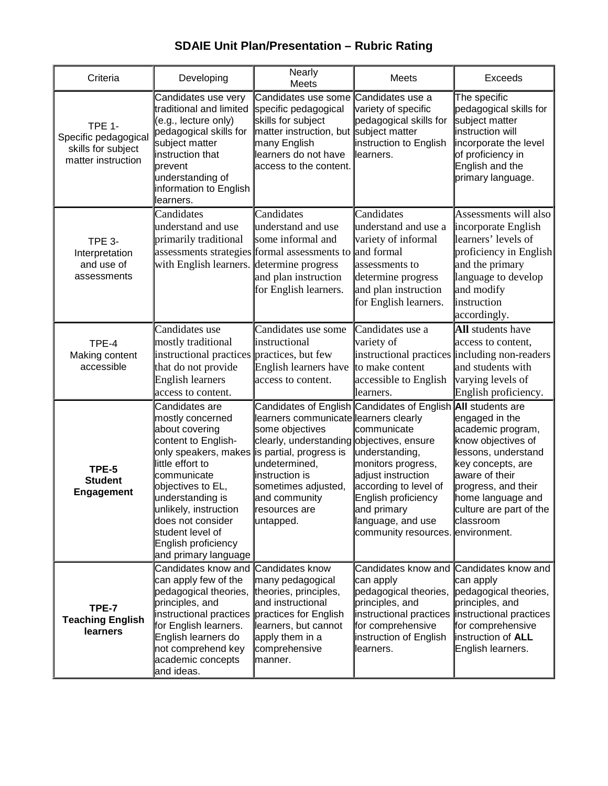# **SDAIE Unit Plan/Presentation – Rubric Rating**

| Criteria                                                                          | Developing                                                                                                                                                                                                                                                                                       | <b>Nearly</b><br>Meets                                                                                                                                                                                                                    | Meets                                                                                                                                                                                                                                                              | Exceeds                                                                                                                                                                                                     |
|-----------------------------------------------------------------------------------|--------------------------------------------------------------------------------------------------------------------------------------------------------------------------------------------------------------------------------------------------------------------------------------------------|-------------------------------------------------------------------------------------------------------------------------------------------------------------------------------------------------------------------------------------------|--------------------------------------------------------------------------------------------------------------------------------------------------------------------------------------------------------------------------------------------------------------------|-------------------------------------------------------------------------------------------------------------------------------------------------------------------------------------------------------------|
| <b>TPE 1-</b><br>Specific pedagogical<br>skills for subject<br>matter instruction | Candidates use very<br>traditional and limited<br>(e.g., lecture only)<br>pedagogical skills for<br>subject matter<br>instruction that<br>prevent<br>understanding of<br>information to English<br>learners.                                                                                     | Candidates use some Candidates use a<br>specific pedagogical<br>skills for subject<br>matter instruction, but subject matter<br>many English<br>learners do not have<br>access to the content.                                            | variety of specific<br>pedagogical skills for<br>instruction to English<br>llearners.                                                                                                                                                                              | The specific<br>pedagogical skills for<br>subject matter<br>instruction will<br>incorporate the level<br>of proficiency in<br>English and the<br>primary language.                                          |
| <b>TPE 3-</b><br>Interpretation<br>and use of<br>assessments                      | Candidates<br>understand and use<br>primarily traditional<br>with English learners. determine progress                                                                                                                                                                                           | Candidates<br>understand and use<br>some informal and<br>assessments strategies formal assessments to and formal<br>and plan instruction<br>for English learners.                                                                         | Candidates<br>understand and use a<br>variety of informal<br>assessments to<br>determine progress<br>and plan instruction<br>for English learners.                                                                                                                 | Assessments will also<br>incorporate English<br>learners' levels of<br>proficiency in English<br>and the primary<br>language to develop<br>and modify<br>instruction<br>accordingly.                        |
| TPE-4<br>Making content<br>accessible                                             | Candidates use<br>mostly traditional<br>instructional practices practices, but few<br>that do not provide<br><b>English learners</b><br>access to content.                                                                                                                                       | Candidates use some<br><i>instructional</i><br>English learners have<br>access to content.                                                                                                                                                | Candidates use a<br>variety of<br>instructional practices including non-readers<br>to make content<br>accessible to English<br>llearners.                                                                                                                          | All students have<br>access to content,<br>and students with<br>varying levels of<br>English proficiency.                                                                                                   |
| TPE-5<br><b>Student</b><br>Engagement                                             | Candidates are<br>mostly concerned<br>about covering<br>content to English-<br>only speakers, makes<br>little effort to<br>communicate<br>objectives to EL,<br>understanding is<br>unlikely, instruction<br>does not consider<br>student level of<br>English proficiency<br>and primary language | learners communicate learners clearly<br>some objectives<br>clearly, understanding objectives, ensure<br>is partial, progress is<br>undetermined,<br>instruction is<br>sometimes adjusted,<br>and community<br>resources are<br>untapped. | Candidates of English Candidates of English All students are<br>communicate<br>understanding,<br>monitors progress,<br>adjust instruction<br>according to level of<br>English proficiency<br>and primary<br>language, and use<br>community resources. environment. | engaged in the<br>academic program,<br>know objectives of<br>lessons, understand<br>key concepts, are<br>aware of their<br>progress, and their<br>home language and<br>culture are part of the<br>classroom |
| TPE-7<br><b>Teaching English</b><br><b>learners</b>                               | Candidates know and Candidates know<br>can apply few of the<br>pedagogical theories,<br>principles, and<br>instructional practices practices for English<br>for English learners.<br>English learners do<br>not comprehend key<br>academic concepts<br>and ideas.                                | many pedagogical<br>theories, principles,<br>and instructional<br>learners, but cannot<br>apply them in a<br>comprehensive<br>manner.                                                                                                     | Candidates know and<br>can apply<br>pedagogical theories,<br>principles, and<br>for comprehensive<br>instruction of English<br>learners.                                                                                                                           | Candidates know and<br>can apply<br>pedagogical theories,<br>principles, and<br>instructional practices instructional practices<br>for comprehensive<br>instruction of ALL<br>English learners.             |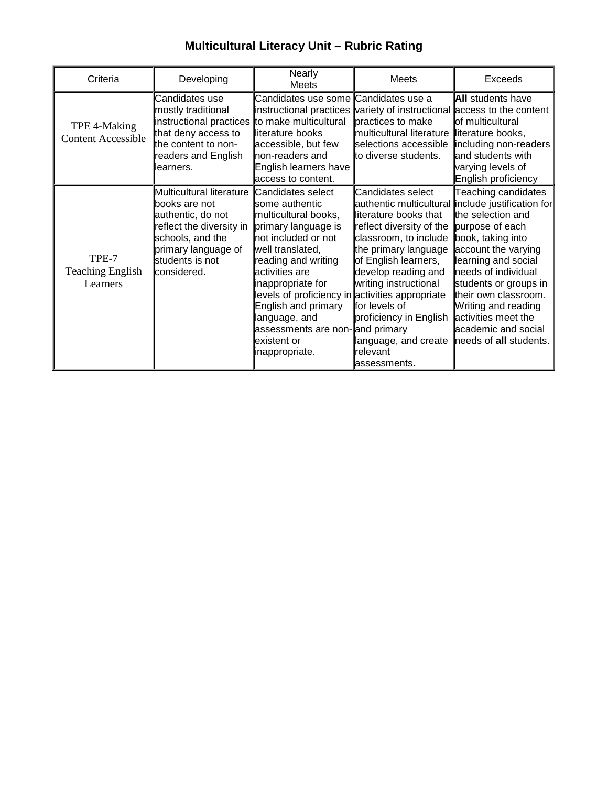# **Multicultural Literacy Unit – Rubric Rating**

| Criteria                                     | Developing                                                                                                                                                               | Nearly<br>Meets                                                                                                                                                                                                                                                                                                                                                     | Meets                                                                                                                                                                                                                                                                                           | Exceeds                                                                                                                                                                                                                                                                                                                                                    |
|----------------------------------------------|--------------------------------------------------------------------------------------------------------------------------------------------------------------------------|---------------------------------------------------------------------------------------------------------------------------------------------------------------------------------------------------------------------------------------------------------------------------------------------------------------------------------------------------------------------|-------------------------------------------------------------------------------------------------------------------------------------------------------------------------------------------------------------------------------------------------------------------------------------------------|------------------------------------------------------------------------------------------------------------------------------------------------------------------------------------------------------------------------------------------------------------------------------------------------------------------------------------------------------------|
| TPE 4-Making<br><b>Content Accessible</b>    | Candidates use<br>mostly traditional<br>instructional practices<br>that deny access to<br>the content to non-<br>readers and English<br>learners.                        | Candidates use some <b>l</b> Candidates use a<br>to make multicultural<br>literature books<br>accessible, but few<br>non-readers and<br>English learners have<br>access to content.                                                                                                                                                                                 | instructional practices variety of instructional access to the content<br>practices to make<br>multicultural literature<br>selections accessible<br>to diverse students.                                                                                                                        | <b>All</b> students have<br>of multicultural<br>literature books,<br>including non-readers<br>and students with<br>varying levels of<br>English proficiency                                                                                                                                                                                                |
| TPE-7<br><b>Teaching English</b><br>Learners | Multicultural literature<br>lbooks are not<br>authentic, do not<br>reflect the diversity in<br>schools, and the<br>primary language of<br>students is not<br>considered. | Candidates select<br>some authentic<br>multicultural books,<br>primary language is<br>not included or not<br>well translated,<br>reading and writing<br>activities are<br>inappropriate for<br>levels of proficiency in activities appropriate<br>English and primary<br>language, and<br>assessments are non-and primary<br><b>l</b> existent or<br>inappropriate. | Candidates select<br>literature books that<br>reflect diversity of the<br>classroom, to include<br>the primary language<br>of English learners,<br>develop reading and<br>writing instructional<br>for levels of<br>proficiency in English<br>language, and create<br>relevant<br>lassessments. | Teaching candidates<br>authentic multicultural include justification for<br>the selection and<br>purpose of each<br>book, taking into<br>account the varying<br>learning and social<br>needs of individual<br>students or groups in<br>their own classroom.<br>Writing and reading<br>activities meet the<br>academic and social<br>needs of all students. |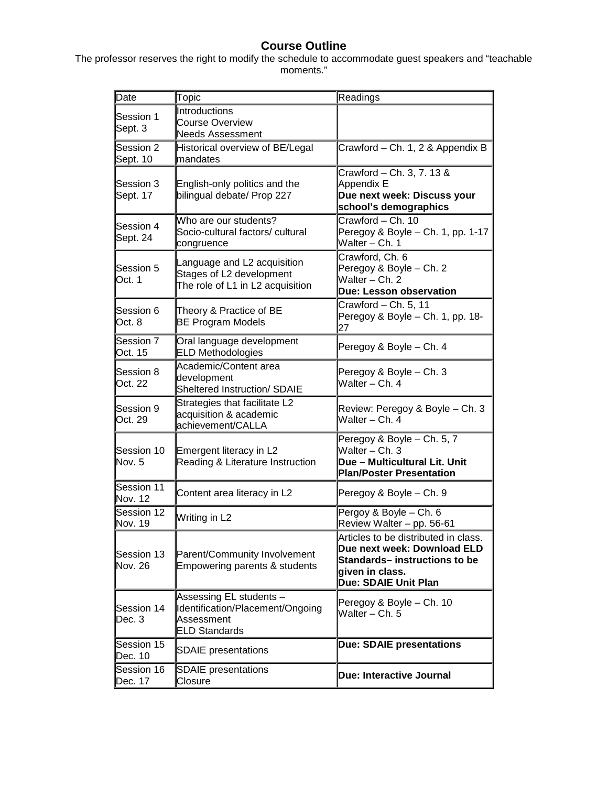### **Course Outline**

The professor reserves the right to modify the schedule to accommodate guest speakers and "teachable moments."

| Date                         | Topic                                                                                             | Readings                                                                                                                                               |
|------------------------------|---------------------------------------------------------------------------------------------------|--------------------------------------------------------------------------------------------------------------------------------------------------------|
| Session 1<br>Sept. 3         | Introductions<br>Course Overview<br><b>Needs Assessment</b>                                       |                                                                                                                                                        |
| Session 2<br>Sept. 10        | Historical overview of BE/Legal<br>mandates                                                       | Crawford - Ch. 1, 2 & Appendix B                                                                                                                       |
| Session 3<br>Sept. 17        | English-only politics and the<br>bilingual debate/ Prop 227                                       | Crawford - Ch. 3, 7. 13 &<br>Appendix E<br>Due next week: Discuss your<br>school's demographics                                                        |
| Session 4<br>Sept. 24        | Who are our students?<br>Socio-cultural factors/ cultural<br>congruence                           | Crawford - Ch. 10<br>Peregoy & Boyle - Ch. 1, pp. 1-17<br>Walter - Ch. 1                                                                               |
| Session 5<br>Oct. 1          | Language and L2 acquisition<br>Stages of L2 development<br>The role of L1 in L2 acquisition       | Crawford, Ch. 6<br>Peregoy & Boyle - Ch. 2<br>Walter - Ch. 2<br><b>Due: Lesson observation</b>                                                         |
| Session 6<br>Oct. 8          | Theory & Practice of BE<br><b>BE Program Models</b>                                               | Crawford - Ch. 5, 11<br>Peregoy & Boyle - Ch. 1, pp. 18-<br>27                                                                                         |
| Session 7<br>Oct. 15         | Oral language development<br><b>ELD Methodologies</b>                                             | Peregoy & Boyle - Ch. 4                                                                                                                                |
| Session 8<br>Oct. 22         | Academic/Content area<br>development<br><b>Sheltered Instruction/ SDAIE</b>                       | Peregoy & Boyle - Ch. 3<br>Walter – Ch. 4                                                                                                              |
| Session 9<br>Oct. 29         | Strategies that facilitate L2<br>acquisition & academic<br>achievement/CALLA                      | Review: Peregoy & Boyle - Ch. 3<br>Walter - Ch. 4                                                                                                      |
| Session 10<br>Nov. 5         | Emergent literacy in L2<br>Reading & Literature Instruction                                       | Peregoy & Boyle - Ch. 5, 7<br>Walter - Ch. 3<br>Due - Multicultural Lit. Unit<br><b>Plan/Poster Presentation</b>                                       |
| Session 11<br>Nov. 12        | Content area literacy in L2                                                                       | Peregoy & Boyle - Ch. 9                                                                                                                                |
| Session 12<br>Nov. 19        | Writing in L2                                                                                     | Pergoy & Boyle - Ch. 6<br>Review Walter - pp. 56-61                                                                                                    |
| Session 13<br><b>Nov. 26</b> | Parent/Community Involvement<br>Empowering parents & students                                     | Articles to be distributed in class.<br>Due next week: Download ELD<br>Standards- instructions to be<br>given in class.<br><b>Due: SDAIE Unit Plan</b> |
| Session 14<br>Dec. 3         | Assessing EL students -<br>Identification/Placement/Ongoing<br>Assessment<br><b>ELD Standards</b> | Peregoy & Boyle - Ch. 10<br>Walter - Ch. 5                                                                                                             |
| Session 15<br>Dec. 10        | <b>SDAIE</b> presentations                                                                        | <b>Due: SDAIE presentations</b>                                                                                                                        |
| Session 16<br>Dec. 17        | <b>SDAIE</b> presentations<br>Closure                                                             | Due: Interactive Journal                                                                                                                               |